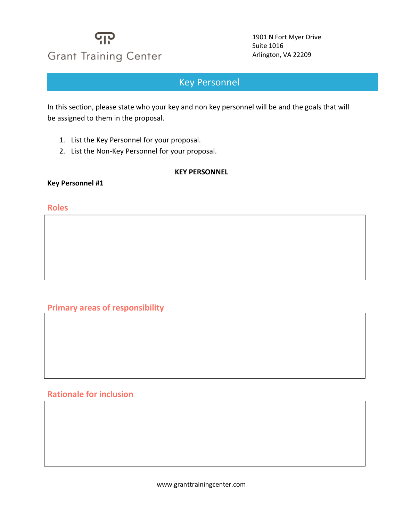## ပျာ **Grant Training Center**

1901 N Fort Myer Drive Suite 1016 Arlington, VA 22209

## **Key Personnel**

In this section, please state who your key and non key personnel will be and the goals that will be assigned to them in the proposal.

- 1. List the Key Personnel for your proposal.
- 2. List the Non-Key Personnel for your proposal.

#### **KEY PERSONNEL**

**Key Personnel #1**

#### **Roles**

#### **Primary areas of responsibility**

### **Rationale for inclusion**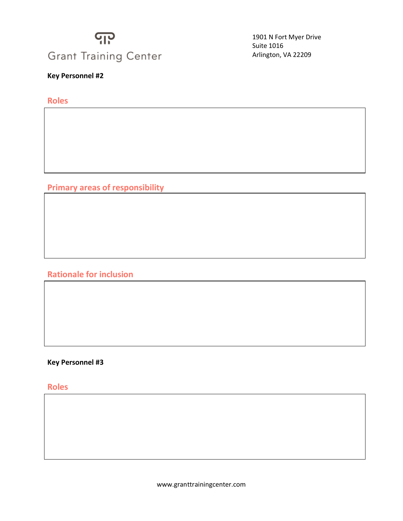## <u> ျာ</u> **Grant Training Center**

**Key Personnel #2**

**Roles**

**Primary areas of responsibility**

**Rationale for inclusion**

### **Key Personnel #3**

**Roles**

1901 N Fort Myer Drive Suite 1016 Arlington, VA 22209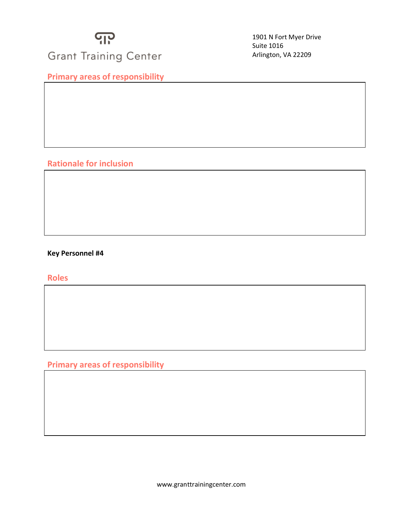

1901 N Fort Myer Drive Suite 1016 Arlington, VA 22209

**Primary areas of responsibility**

### **Rationale for inclusion**

#### **Key Personnel #4**

**Roles**

**Primary areas of responsibility**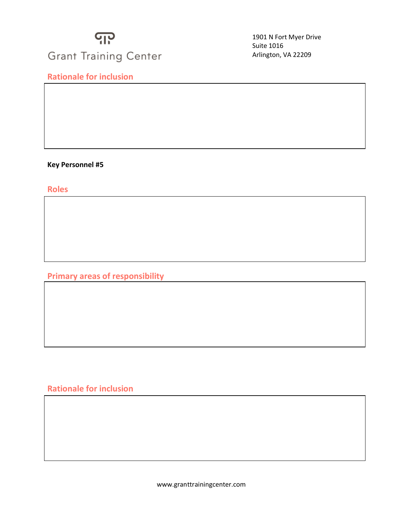# <u> ရ</u>ှာ **Grant Training Center**

**Rationale for inclusion**

1901 N Fort Myer Drive Suite 1016 Arlington, VA 22209

**Key Personnel #5**

**Roles**

**Primary areas of responsibility**

**Rationale for inclusion**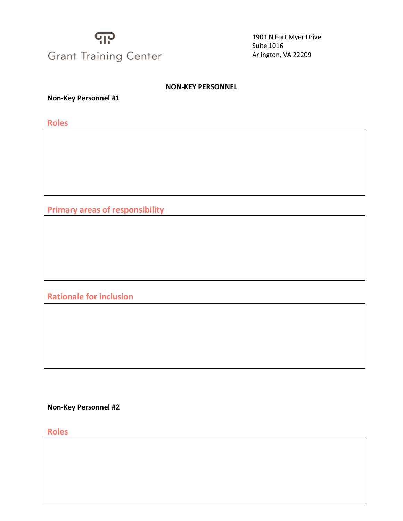# <u> ျာ</u> **Grant Training Center**

1901 N Fort Myer Drive Suite 1016 Arlington, VA 22209

#### **NON-KEY PERSONNEL**

**Non-Key Personnel #1**

**Roles**

**Primary areas of responsibility**

**Rationale for inclusion**

**Non-Key Personnel #2**

**Roles**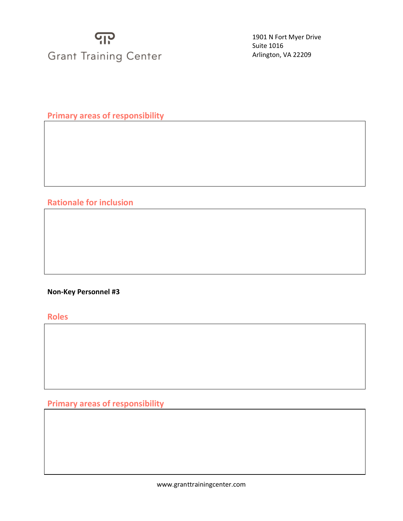# <u> ရ</u>ှာ **Grant Training Center**

1901 N Fort Myer Drive Suite 1016 Arlington, VA 22209

**Primary areas of responsibility**

### **Rationale for inclusion**

#### **Non-Key Personnel #3**

**Roles**

**Primary areas of responsibility**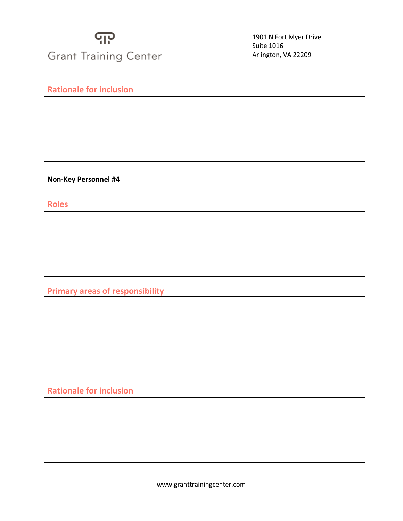# <u> ျာ</u> **Grant Training Center**

1901 N Fort Myer Drive Suite 1016 Arlington, VA 22209

## **Rationale for inclusion**

**Non-Key Personnel #4**

**Roles**

**Primary areas of responsibility**

## **Rationale for inclusion**